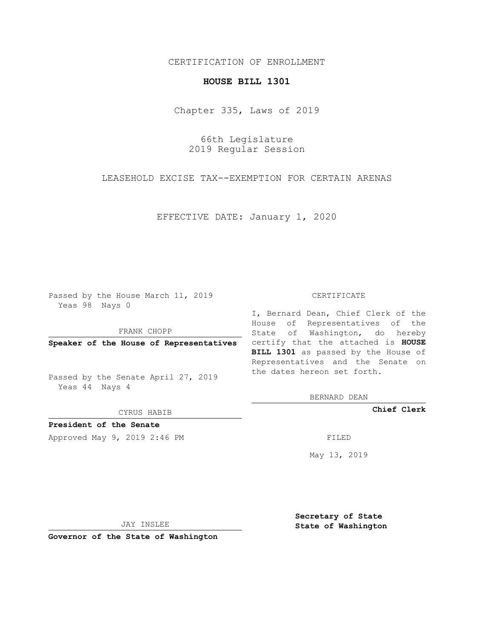## CERTIFICATION OF ENROLLMENT

## **HOUSE BILL 1301**

Chapter 335, Laws of 2019

66th Legislature 2019 Regular Session

LEASEHOLD EXCISE TAX--EXEMPTION FOR CERTAIN ARENAS

EFFECTIVE DATE: January 1, 2020

Passed by the House March 11, 2019 Yeas 98 Nays 0

FRANK CHOPP

Passed by the Senate April 27, 2019 Yeas 44 Nays 4

CYRUS HABIB

**President of the Senate**

Approved May 9, 2019 2:46 PM

## CERTIFICATE

**Speaker of the House of Representatives** certify that the attached is **HOUSE** I, Bernard Dean, Chief Clerk of the House of Representatives of the State of Washington, do hereby **BILL 1301** as passed by the House of Representatives and the Senate on the dates hereon set forth.

BERNARD DEAN

**Chief Clerk**

May 13, 2019

JAY INSLEE

**Governor of the State of Washington**

**Secretary of State State of Washington**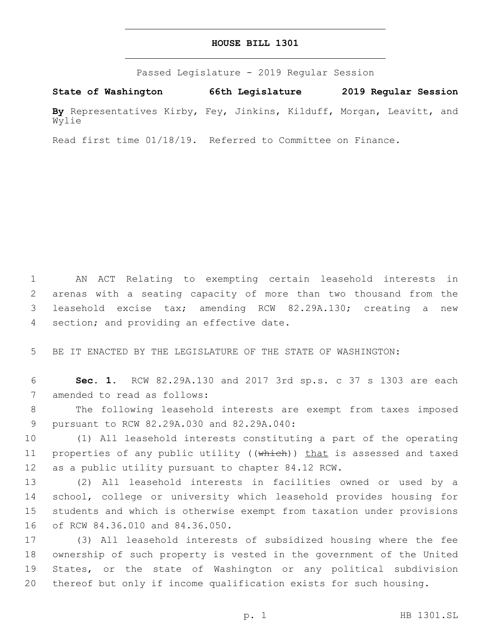## **HOUSE BILL 1301**

Passed Legislature - 2019 Regular Session

**State of Washington 66th Legislature 2019 Regular Session By** Representatives Kirby, Fey, Jinkins, Kilduff, Morgan, Leavitt, and Wylie

Read first time 01/18/19. Referred to Committee on Finance.

 AN ACT Relating to exempting certain leasehold interests in arenas with a seating capacity of more than two thousand from the leasehold excise tax; amending RCW 82.29A.130; creating a new 4 section; and providing an effective date.

5 BE IT ENACTED BY THE LEGISLATURE OF THE STATE OF WASHINGTON:

6 **Sec. 1.** RCW 82.29A.130 and 2017 3rd sp.s. c 37 s 1303 are each 7 amended to read as follows:

8 The following leasehold interests are exempt from taxes imposed 9 pursuant to RCW 82.29A.030 and 82.29A.040:

10 (1) All leasehold interests constituting a part of the operating 11 properties of any public utility ((which)) that is assessed and taxed 12 as a public utility pursuant to chapter 84.12 RCW.

 (2) All leasehold interests in facilities owned or used by a school, college or university which leasehold provides housing for students and which is otherwise exempt from taxation under provisions 16 of RCW 84.36.010 and 84.36.050.

 (3) All leasehold interests of subsidized housing where the fee ownership of such property is vested in the government of the United States, or the state of Washington or any political subdivision thereof but only if income qualification exists for such housing.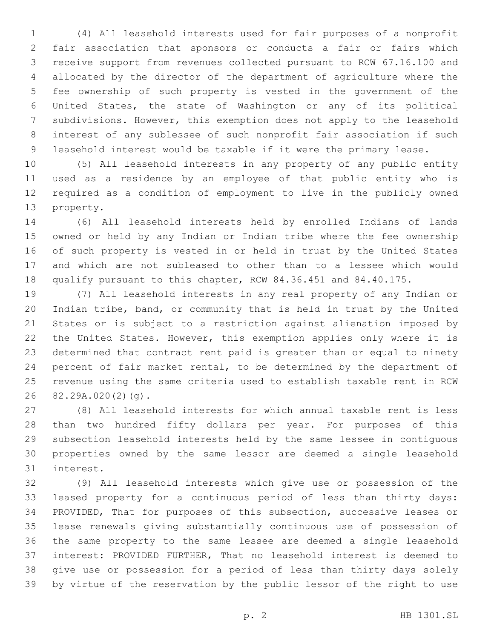(4) All leasehold interests used for fair purposes of a nonprofit fair association that sponsors or conducts a fair or fairs which receive support from revenues collected pursuant to RCW 67.16.100 and allocated by the director of the department of agriculture where the fee ownership of such property is vested in the government of the United States, the state of Washington or any of its political subdivisions. However, this exemption does not apply to the leasehold interest of any sublessee of such nonprofit fair association if such leasehold interest would be taxable if it were the primary lease.

 (5) All leasehold interests in any property of any public entity used as a residence by an employee of that public entity who is required as a condition of employment to live in the publicly owned 13 property.

 (6) All leasehold interests held by enrolled Indians of lands owned or held by any Indian or Indian tribe where the fee ownership of such property is vested in or held in trust by the United States and which are not subleased to other than to a lessee which would qualify pursuant to this chapter, RCW 84.36.451 and 84.40.175.

 (7) All leasehold interests in any real property of any Indian or Indian tribe, band, or community that is held in trust by the United States or is subject to a restriction against alienation imposed by the United States. However, this exemption applies only where it is determined that contract rent paid is greater than or equal to ninety percent of fair market rental, to be determined by the department of revenue using the same criteria used to establish taxable rent in RCW 26 82.29A.020(2)(g).

 (8) All leasehold interests for which annual taxable rent is less than two hundred fifty dollars per year. For purposes of this subsection leasehold interests held by the same lessee in contiguous properties owned by the same lessor are deemed a single leasehold 31 interest.

 (9) All leasehold interests which give use or possession of the leased property for a continuous period of less than thirty days: PROVIDED, That for purposes of this subsection, successive leases or lease renewals giving substantially continuous use of possession of the same property to the same lessee are deemed a single leasehold interest: PROVIDED FURTHER, That no leasehold interest is deemed to give use or possession for a period of less than thirty days solely by virtue of the reservation by the public lessor of the right to use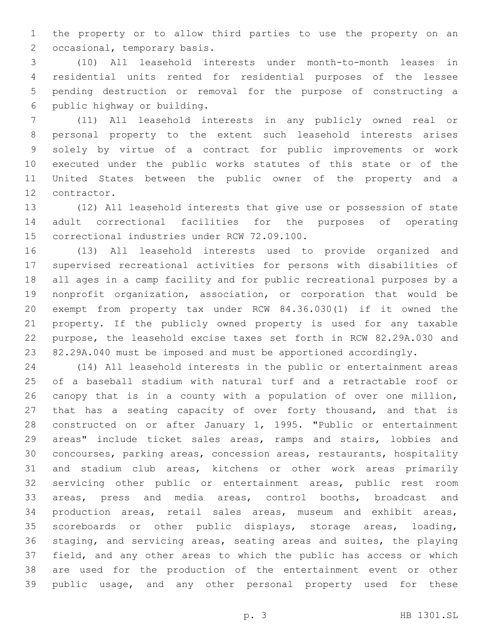the property or to allow third parties to use the property on an 2 occasional, temporary basis.

 (10) All leasehold interests under month-to-month leases in residential units rented for residential purposes of the lessee pending destruction or removal for the purpose of constructing a 6 public highway or building.

 (11) All leasehold interests in any publicly owned real or personal property to the extent such leasehold interests arises solely by virtue of a contract for public improvements or work executed under the public works statutes of this state or of the United States between the public owner of the property and a 12 contractor.

 (12) All leasehold interests that give use or possession of state adult correctional facilities for the purposes of operating 15 correctional industries under RCW 72.09.100.

 (13) All leasehold interests used to provide organized and supervised recreational activities for persons with disabilities of all ages in a camp facility and for public recreational purposes by a nonprofit organization, association, or corporation that would be exempt from property tax under RCW 84.36.030(1) if it owned the property. If the publicly owned property is used for any taxable purpose, the leasehold excise taxes set forth in RCW 82.29A.030 and 82.29A.040 must be imposed and must be apportioned accordingly.

 (14) All leasehold interests in the public or entertainment areas of a baseball stadium with natural turf and a retractable roof or canopy that is in a county with a population of over one million, that has a seating capacity of over forty thousand, and that is constructed on or after January 1, 1995. "Public or entertainment areas" include ticket sales areas, ramps and stairs, lobbies and concourses, parking areas, concession areas, restaurants, hospitality and stadium club areas, kitchens or other work areas primarily servicing other public or entertainment areas, public rest room areas, press and media areas, control booths, broadcast and production areas, retail sales areas, museum and exhibit areas, scoreboards or other public displays, storage areas, loading, staging, and servicing areas, seating areas and suites, the playing field, and any other areas to which the public has access or which are used for the production of the entertainment event or other public usage, and any other personal property used for these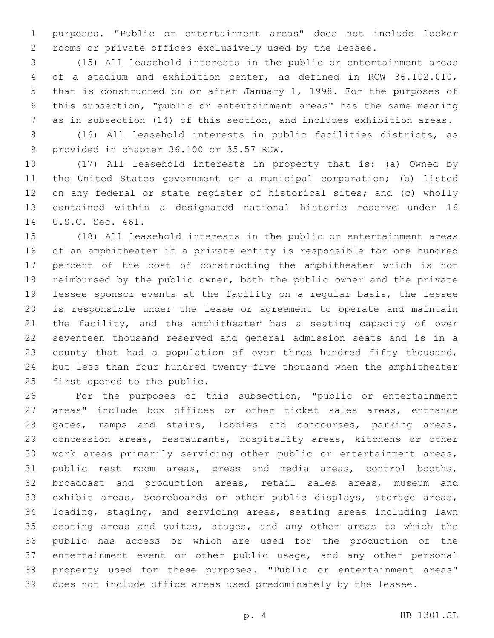purposes. "Public or entertainment areas" does not include locker rooms or private offices exclusively used by the lessee.

 (15) All leasehold interests in the public or entertainment areas of a stadium and exhibition center, as defined in RCW 36.102.010, that is constructed on or after January 1, 1998. For the purposes of this subsection, "public or entertainment areas" has the same meaning as in subsection (14) of this section, and includes exhibition areas.

 (16) All leasehold interests in public facilities districts, as 9 provided in chapter 36.100 or 35.57 RCW.

 (17) All leasehold interests in property that is: (a) Owned by the United States government or a municipal corporation; (b) listed on any federal or state register of historical sites; and (c) wholly contained within a designated national historic reserve under 16 14 U.S.C. Sec. 461.

 (18) All leasehold interests in the public or entertainment areas of an amphitheater if a private entity is responsible for one hundred percent of the cost of constructing the amphitheater which is not reimbursed by the public owner, both the public owner and the private lessee sponsor events at the facility on a regular basis, the lessee is responsible under the lease or agreement to operate and maintain the facility, and the amphitheater has a seating capacity of over seventeen thousand reserved and general admission seats and is in a county that had a population of over three hundred fifty thousand, but less than four hundred twenty-five thousand when the amphitheater 25 first opened to the public.

 For the purposes of this subsection, "public or entertainment areas" include box offices or other ticket sales areas, entrance 28 gates, ramps and stairs, lobbies and concourses, parking areas, concession areas, restaurants, hospitality areas, kitchens or other work areas primarily servicing other public or entertainment areas, public rest room areas, press and media areas, control booths, broadcast and production areas, retail sales areas, museum and exhibit areas, scoreboards or other public displays, storage areas, loading, staging, and servicing areas, seating areas including lawn seating areas and suites, stages, and any other areas to which the public has access or which are used for the production of the entertainment event or other public usage, and any other personal property used for these purposes. "Public or entertainment areas" does not include office areas used predominately by the lessee.